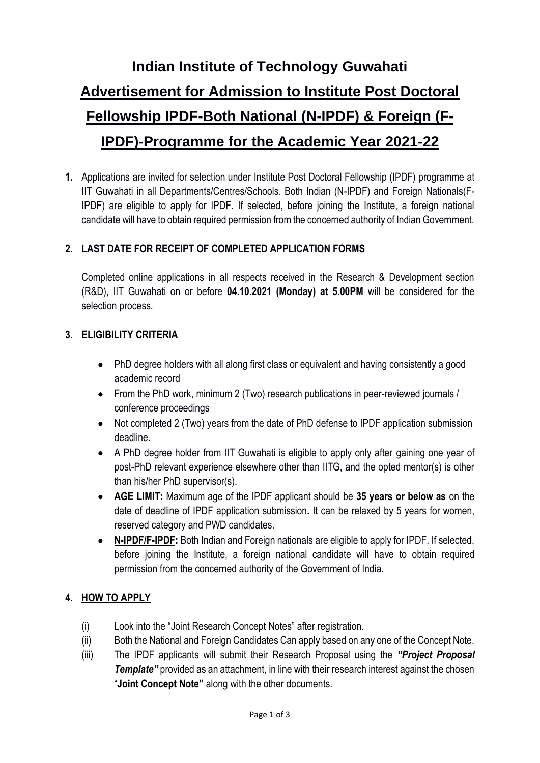# **Indian Institute of Technology Guwahati Advertisement for Admission to Institute Post Doctoral Fellowship IPDF-Both National (N-IPDF) & Foreign (F-IPDF)-Programme for the Academic Year 2021-22**

**1.** Applications are invited for selection under Institute Post Doctoral Fellowship (IPDF) programme at IIT Guwahati in all Departments/Centres/Schools. Both Indian (N-IPDF) and Foreign Nationals(F-IPDF) are eligible to apply for IPDF. If selected, before joining the Institute, a foreign national candidate will have to obtain required permission from the concerned authority of Indian Government.

# **2. LAST DATE FOR RECEIPT OF COMPLETED APPLICATION FORMS**

Completed online applications in all respects received in the Research & Development section (R&D), IIT Guwahati on or before **04.10.2021 (Monday) at 5.00PM** will be considered for the selection process.

#### **3. ELIGIBILITY CRITERIA**

- PhD degree holders with all along first class or equivalent and having consistently a good academic record
- From the PhD work, minimum 2 (Two) research publications in peer-reviewed journals / conference proceedings
- Not completed 2 (Two) years from the date of PhD defense to IPDF application submission deadline.
- A PhD degree holder from IIT Guwahati is eligible to apply only after gaining one year of post-PhD relevant experience elsewhere other than IITG, and the opted mentor(s) is other than his/her PhD supervisor(s).
- **AGE LIMIT:** Maximum age of the IPDF applicant should be **35 years or below as** on the date of deadline of IPDF application submission**.** It can be relaxed by 5 years for women, reserved category and PWD candidates.
- **N-IPDF/F-IPDF:** Both Indian and Foreign nationals are eligible to apply for IPDF. If selected, before joining the Institute, a foreign national candidate will have to obtain required permission from the concerned authority of the Government of India.

#### **4. HOW TO APPLY**

- (i) Look into the "Joint Research Concept Notes" after registration.
- (ii) Both the National and Foreign Candidates Can apply based on any one of the Concept Note.
- (iii) The IPDF applicants will submit their Research Proposal using the *"Project Proposal*  **Template**" provided as an attachment, in line with their research interest against the chosen "**Joint Concept Note"** along with the other documents.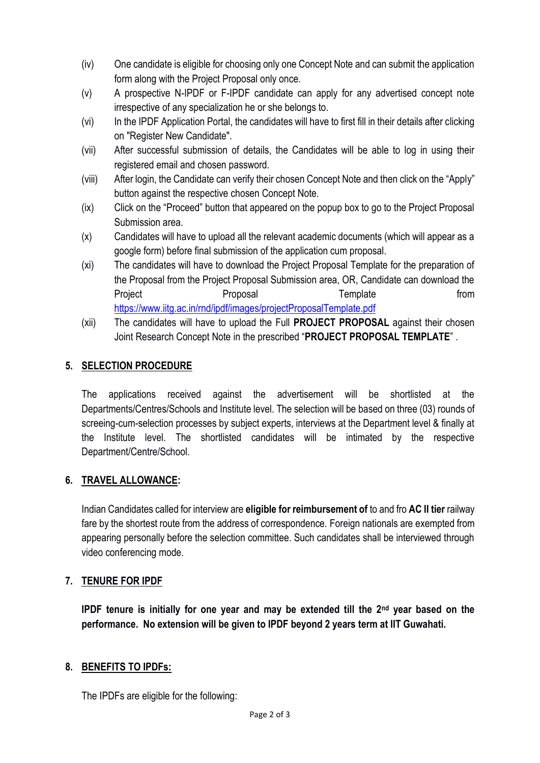- (iv) One candidate is eligible for choosing only one Concept Note and can submit the application form along with the Project Proposal only once.
- (v) A prospective N-IPDF or F-IPDF candidate can apply for any advertised concept note irrespective of any specialization he or she belongs to.
- (vi) In the IPDF Application Portal, the candidates will have to first fill in their details after clicking on "Register New Candidate".
- (vii) After successful submission of details, the Candidates will be able to log in using their registered email and chosen password.
- (viii) After login, the Candidate can verify their chosen Concept Note and then click on the "Apply" button against the respective chosen Concept Note.
- (ix) Click on the "Proceed" button that appeared on the popup box to go to the Project Proposal Submission area.
- (x) Candidates will have to upload all the relevant academic documents (which will appear as a google form) before final submission of the application cum proposal.
- (xi) The candidates will have to download the Project Proposal Template for the preparation of the Proposal from the Project Proposal Submission area, OR, Candidate can download the Project **Proposal Proposal Proposal Proposal Proposal Proposal Proposal** <https://www.iitg.ac.in/rnd/ipdf/images/projectProposalTemplate.pdf>
- (xii) The candidates will have to upload the Full **PROJECT PROPOSAL** against their chosen Joint Research Concept Note in the prescribed "**PROJECT PROPOSAL TEMPLATE**" .

# **5. SELECTION PROCEDURE**

The applications received against the advertisement will be shortlisted at the Departments/Centres/Schools and Institute level. The selection will be based on three (03) rounds of screeing-cum-selection processes by subject experts, interviews at the Department level & finally at the Institute level. The shortlisted candidates will be intimated by the respective Department/Centre/School.

### **6. TRAVEL ALLOWANCE:**

Indian Candidates called for interview are **eligible for reimbursement of** to and fro **AC II tier** railway fare by the shortest route from the address of correspondence. Foreign nationals are exempted from appearing personally before the selection committee. Such candidates shall be interviewed through video conferencing mode.

### **7. TENURE FOR IPDF**

**IPDF tenure is initially for one year and may be extended till the 2nd year based on the performance. No extension will be given to IPDF beyond 2 years term at IIT Guwahati.**

### **8. BENEFITS TO IPDFs:**

The IPDFs are eligible for the following: